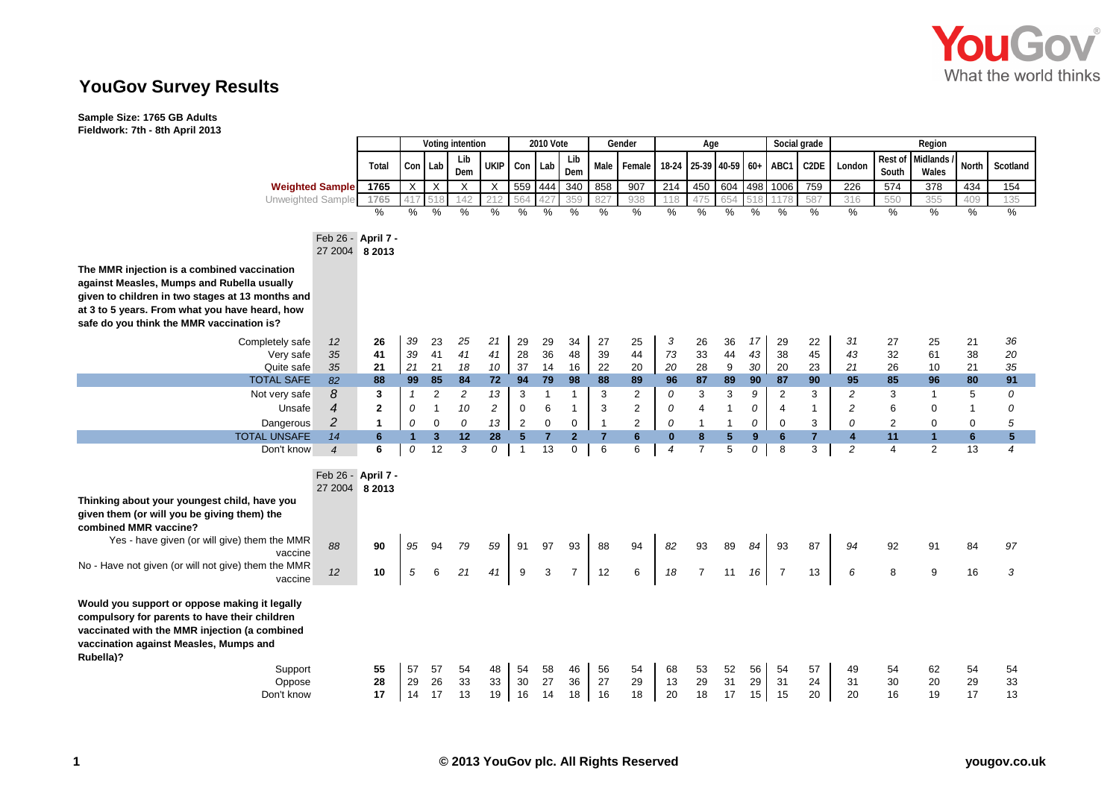

## **YouGov Survey Results**

**Sample Size: 1765 GB Adults Fieldwork: 7th - 8th April 2013**

|                                                                                                                                                                                                        |                    | Voting intention |                |                         |                | 2010 Vote      |                |                | Gender         |                | Age            |                |                            | Social grade |          | Region         |                |                         |                  |                      |                |                |
|--------------------------------------------------------------------------------------------------------------------------------------------------------------------------------------------------------|--------------------|------------------|----------------|-------------------------|----------------|----------------|----------------|----------------|----------------|----------------|----------------|----------------|----------------------------|--------------|----------|----------------|----------------|-------------------------|------------------|----------------------|----------------|----------------|
|                                                                                                                                                                                                        |                    | Total            |                | Con Lab                 | Lib<br>Dem     | <b>UKIP</b>    | Con Lab        |                | Lib<br>Dem     | Male           | Female         |                | 18-24 25-39 40-59 60+ ABC1 |              |          |                | C2DE           | London                  | Rest of<br>South | Midlands<br>Wales    | <b>North</b>   | Scotland       |
| <b>Weighted Sample</b>                                                                                                                                                                                 |                    | 1765             | $\overline{X}$ | $\times$                | $\times$       | $\times$       | 559 444        |                | 340            | 858            | 907            | 214            | 450                        | 604          |          | 498 1006       | 759            | 226                     | 574              | $\overline{378}$     | 434            | 154            |
| Unweighted Sample                                                                                                                                                                                      |                    | 1765             |                | 518                     | 142            | 212            | 564            |                | 359            | 827            | 938            | 118            | 475                        | 654          |          |                | 587            | 316                     | 550              | 355                  | 409            | 135            |
|                                                                                                                                                                                                        |                    | %                | %              | %                       | $\%$           | %              | $\%$           | %              | $\%$           | %              | %              | %              | %                          | %            | %        | %              | $\%$           | $\%$                    | %                | $\%$                 | %              | %              |
|                                                                                                                                                                                                        |                    |                  |                |                         |                |                |                |                |                |                |                |                |                            |              |          |                |                |                         |                  |                      |                |                |
|                                                                                                                                                                                                        | Feb 26 - April 7 - |                  |                |                         |                |                |                |                |                |                |                |                |                            |              |          |                |                |                         |                  |                      |                |                |
|                                                                                                                                                                                                        | 27 2004 8 2013     |                  |                |                         |                |                |                |                |                |                |                |                |                            |              |          |                |                |                         |                  |                      |                |                |
| The MMR injection is a combined vaccination                                                                                                                                                            |                    |                  |                |                         |                |                |                |                |                |                |                |                |                            |              |          |                |                |                         |                  |                      |                |                |
| against Measles, Mumps and Rubella usually                                                                                                                                                             |                    |                  |                |                         |                |                |                |                |                |                |                |                |                            |              |          |                |                |                         |                  |                      |                |                |
| given to children in two stages at 13 months and                                                                                                                                                       |                    |                  |                |                         |                |                |                |                |                |                |                |                |                            |              |          |                |                |                         |                  |                      |                |                |
| at 3 to 5 years. From what you have heard, how                                                                                                                                                         |                    |                  |                |                         |                |                |                |                |                |                |                |                |                            |              |          |                |                |                         |                  |                      |                |                |
| safe do you think the MMR vaccination is?                                                                                                                                                              |                    |                  |                |                         |                |                |                |                |                |                |                |                |                            |              |          |                |                |                         |                  |                      |                |                |
|                                                                                                                                                                                                        |                    | 26               |                |                         |                |                | 29             |                |                |                |                |                |                            |              |          |                |                |                         |                  |                      |                |                |
| Completely safe<br>Very safe                                                                                                                                                                           | 12<br>35           | 41               | 39<br>39       | 23<br>41                | 25<br>41       | 21<br>41       | 28             | 29<br>36       | 34<br>48       | 27<br>39       | 25<br>44       | 3<br>73        | 26<br>33                   | 36<br>44     | 17<br>43 | 29<br>38       | 22<br>45       | 31<br>43                | 27<br>32         | 25<br>61             | 21<br>38       | 36<br>20       |
| Quite safe                                                                                                                                                                                             | 35                 | 21               | 21             | 21                      | 18             | 10             | 37             | 14             | 16             | 22             | 20             | 20             | 28                         | 9            | 30       | 20             | 23             | 21                      | 26               | 10                   | 21             | 35             |
| <b>TOTAL SAFE</b>                                                                                                                                                                                      | 82                 | 88               | 99             | 85                      | 84             | 72             | 94             | 79             | 98             | 88             | 89             | 96             | 87                         | 89           | 90       | 87             | 90             | 95                      | 85               | 96                   | 80             | 91             |
| Not very safe                                                                                                                                                                                          | 8                  | 3                | $\mathbf{1}$   | $\overline{c}$          | $\overline{c}$ | 13             | 3              | -1             | -1             | 3              | 2              | 0              | 3                          | 3            | 9        | 2              | 3              | $\overline{c}$          | 3                | $\blacktriangleleft$ | 5              | 0              |
| Unsafe                                                                                                                                                                                                 | 4                  | $\mathbf{2}$     | 0              | $\overline{1}$          | 10             | $\overline{c}$ | 0              | 6              | $\overline{1}$ | 3              | $\overline{2}$ | 0              | 4                          | $\mathbf{1}$ | 0        | $\overline{4}$ | $\overline{1}$ | $\overline{\mathbf{c}}$ | 6                | $\mathbf 0$          | $\overline{1}$ | 0              |
| Dangerous                                                                                                                                                                                              | $\overline{c}$     | $\mathbf{1}$     | 0              | $\mathbf 0$             | 0              | 13             | $\sqrt{2}$     | $\mathbf 0$    | $\mathbf 0$    | $\mathbf{1}$   | 2              | 0              | $\mathbf{1}$               | $\mathbf{1}$ | 0        | 0              | 3              | 0                       | $\overline{2}$   | $\mathbf 0$          | 0              | 5              |
| <b>TOTAL UNSAFE</b>                                                                                                                                                                                    | 14                 | 6                | $\mathbf{1}$   | $\overline{\mathbf{3}}$ | 12             | 28             | 5 <sup>5</sup> | $\overline{7}$ | $\overline{2}$ | $\overline{7}$ | $6\phantom{1}$ | $\bf{0}$       | 8                          | 5            | 9        | 6              | $\overline{7}$ | $\overline{4}$          | 11               | $\mathbf{1}$         | $6\phantom{a}$ | 5              |
| Don't know                                                                                                                                                                                             | $\overline{4}$     | 6                | 0              | 12                      | 3              | 0              | $\overline{1}$ | 13             | 0              | 6              | 6              | $\overline{4}$ | $\overline{7}$             | 5            | 0        | 8              | 3              | $\overline{c}$          | $\overline{a}$   | $\overline{2}$       | 13             | $\overline{4}$ |
|                                                                                                                                                                                                        |                    |                  |                |                         |                |                |                |                |                |                |                |                |                            |              |          |                |                |                         |                  |                      |                |                |
|                                                                                                                                                                                                        | Feb 26 - April 7 - |                  |                |                         |                |                |                |                |                |                |                |                |                            |              |          |                |                |                         |                  |                      |                |                |
|                                                                                                                                                                                                        | 27 2004 8 2013     |                  |                |                         |                |                |                |                |                |                |                |                |                            |              |          |                |                |                         |                  |                      |                |                |
| Thinking about your youngest child, have you                                                                                                                                                           |                    |                  |                |                         |                |                |                |                |                |                |                |                |                            |              |          |                |                |                         |                  |                      |                |                |
| given them (or will you be giving them) the                                                                                                                                                            |                    |                  |                |                         |                |                |                |                |                |                |                |                |                            |              |          |                |                |                         |                  |                      |                |                |
| combined MMR vaccine?                                                                                                                                                                                  |                    |                  |                |                         |                |                |                |                |                |                |                |                |                            |              |          |                |                |                         |                  |                      |                |                |
| Yes - have given (or will give) them the MMR<br>vaccine                                                                                                                                                | 88                 | 90               | 95             | 94                      | 79             | 59             | 91             | 97             | 93             | 88             | 94             | 82             | 93                         | 89           | 84       | 93             | 87             | 94                      | 92               | 91                   | 84             | 97             |
| No - Have not given (or will not give) them the MMR<br>vaccine                                                                                                                                         | 12                 | 10               | 5              | 6                       | 21             | 41             | 9              | 3              | $\overline{7}$ | 12             | 6              | 18             | $\overline{7}$             | 11           | 16       | $\overline{7}$ | 13             | 6                       | 8                | 9                    | 16             | 3              |
| Would you support or oppose making it legally<br>compulsory for parents to have their children<br>vaccinated with the MMR injection (a combined<br>vaccination against Measles, Mumps and<br>Rubella)? |                    |                  |                |                         |                |                |                |                |                |                |                |                |                            |              |          |                |                |                         |                  |                      |                |                |
| Support                                                                                                                                                                                                |                    | 55               | 57             | 57                      | 54             | 48             | 54             | 58             | 46             | 56             | 54             | 68             | 53                         | 52           | 56       | 54             | 57             | 49                      | 54               | 62                   | 54             | 54             |
| Oppose                                                                                                                                                                                                 |                    | 28               | 29             | 26                      | 33             | 33             | 30             | 27             | 36             | 27             | 29             | 13             | 29                         | 31           | 29       | 31             | 24             | 31                      | 30               | 20                   | 29             | 33             |
| Don't know                                                                                                                                                                                             |                    | 17               | 14             | 17                      | 13             | 19             | 16             | 14             | 18             | 16             | 18             | 20             | 18                         | 17           | 15       | 15             | 20             | 20                      | 16               | 19                   | 17             | 13             |